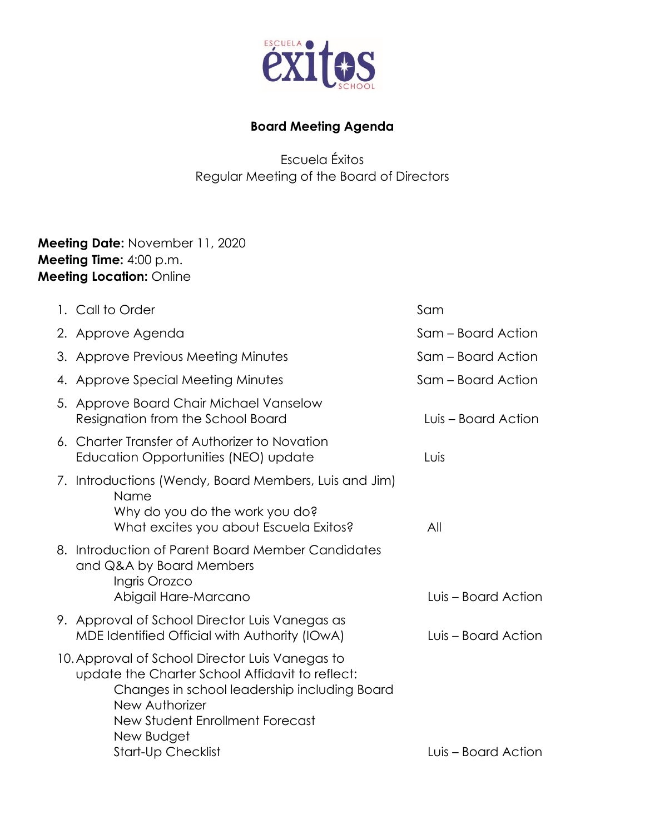

## **Board Meeting Agenda**

Escuela Éxitos Regular Meeting of the Board of Directors

## **Meeting Date:** November 11, 2020 **Meeting Time:** 4:00 p.m. **Meeting Location:** Online

| 1. Call to Order                                                                                                                                                                                                                                   | Sam                 |
|----------------------------------------------------------------------------------------------------------------------------------------------------------------------------------------------------------------------------------------------------|---------------------|
| 2. Approve Agenda                                                                                                                                                                                                                                  | Sam – Board Action  |
| 3. Approve Previous Meeting Minutes                                                                                                                                                                                                                | Sam – Board Action  |
| 4. Approve Special Meeting Minutes                                                                                                                                                                                                                 | Sam – Board Action  |
| 5. Approve Board Chair Michael Vanselow<br>Resignation from the School Board                                                                                                                                                                       | Luis – Board Action |
| 6. Charter Transfer of Authorizer to Novation<br>Education Opportunities (NEO) update                                                                                                                                                              | Luis                |
| 7. Introductions (Wendy, Board Members, Luis and Jim)<br>Name<br>Why do you do the work you do?<br>What excites you about Escuela Exitos?                                                                                                          | All                 |
| 8. Introduction of Parent Board Member Candidates<br>and Q&A by Board Members<br>Ingris Orozco<br>Abigail Hare-Marcano                                                                                                                             | Luis – Board Action |
| 9. Approval of School Director Luis Vanegas as<br>MDE Identified Official with Authority (IOwA)                                                                                                                                                    | Luis - Board Action |
| 10. Approval of School Director Luis Vanegas to<br>update the Charter School Affidavit to reflect:<br>Changes in school leadership including Board<br>New Authorizer<br>New Student Enrollment Forecast<br>New Budget<br><b>Start-Up Checklist</b> | Luis – Board Action |
|                                                                                                                                                                                                                                                    |                     |